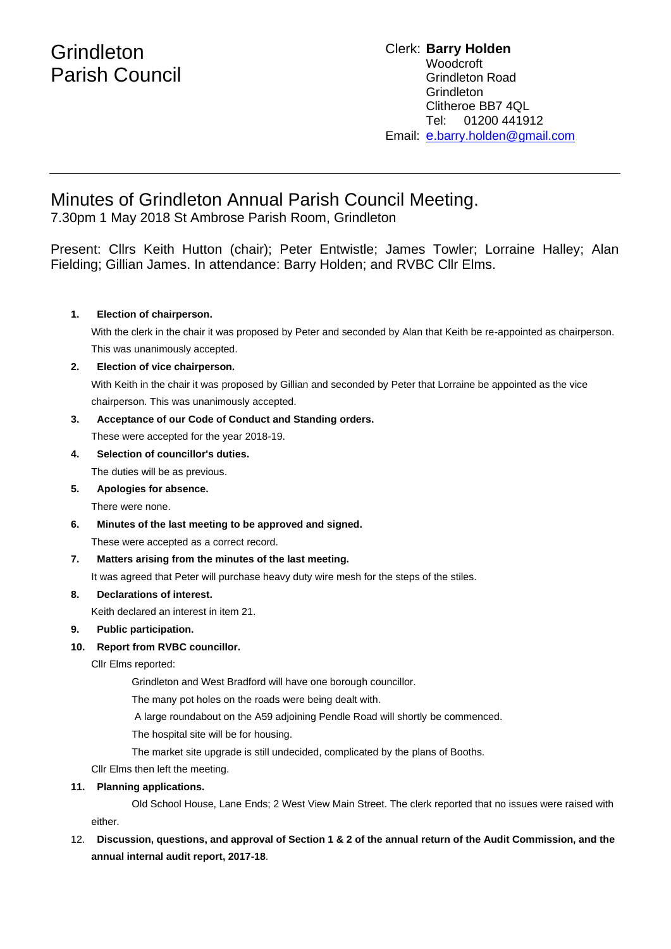# Minutes of Grindleton Annual Parish Council Meeting.

7.30pm 1 May 2018 St Ambrose Parish Room, Grindleton

Present: Cllrs Keith Hutton (chair); Peter Entwistle; James Towler; Lorraine Halley; Alan Fielding; Gillian James. In attendance: Barry Holden; and RVBC Cllr Elms.

## **1. Election of chairperson.**

With the clerk in the chair it was proposed by Peter and seconded by Alan that Keith be re-appointed as chairperson. This was unanimously accepted.

## **2. Election of vice chairperson.**

With Keith in the chair it was proposed by Gillian and seconded by Peter that Lorraine be appointed as the vice chairperson. This was unanimously accepted.

## **3. Acceptance of our Code of Conduct and Standing orders.**

These were accepted for the year 2018-19.

- **4. Selection of councillor's duties.**
	- The duties will be as previous.
- **5. Apologies for absence.**

There were none.

**6. Minutes of the last meeting to be approved and signed.**

These were accepted as a correct record.

## **7. Matters arising from the minutes of the last meeting.**

It was agreed that Peter will purchase heavy duty wire mesh for the steps of the stiles.

## **8. Declarations of interest.**

Keith declared an interest in item 21.

## **9. Public participation.**

## **10. Report from RVBC councillor.**

Cllr Elms reported:

Grindleton and West Bradford will have one borough councillor.

The many pot holes on the roads were being dealt with.

A large roundabout on the A59 adjoining Pendle Road will shortly be commenced.

The hospital site will be for housing.

The market site upgrade is still undecided, complicated by the plans of Booths.

Cllr Elms then left the meeting.

## **11. Planning applications.**

Old School House, Lane Ends; 2 West View Main Street. The clerk reported that no issues were raised with either.

# 12. **Discussion, questions, and approval of Section 1 & 2 of the annual return of the Audit Commission, and the annual internal audit report, 2017-18**.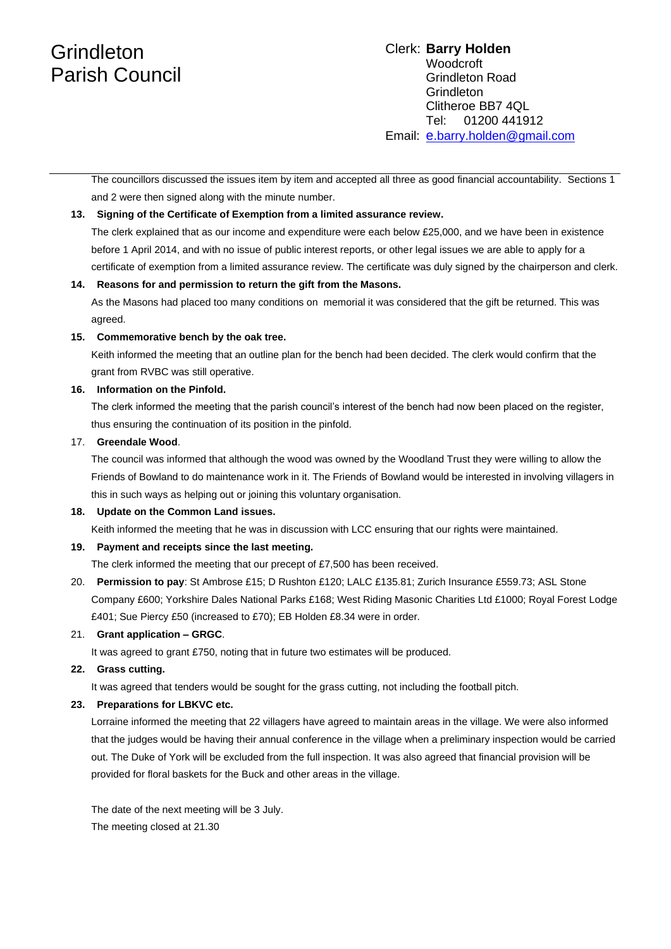# **Grindleton** Parish Council

## Clerk: **Barry Holden** Woodcroft Grindleton Road **Grindleton** Clitheroe BB7 4QL Tel: 01200 441912 Email: [e](mailto:edwardbholden@yahoo.co.uk).barry.holden@gmail.com

The councillors discussed the issues item by item and accepted all three as good financial accountability. Sections 1 and 2 were then signed along with the minute number.

### **13. Signing of the Certificate of Exemption from a limited assurance review.**

The clerk explained that as our income and expenditure were each below £25,000, and we have been in existence before 1 April 2014, and with no issue of public interest reports, or other legal issues we are able to apply for a certificate of exemption from a limited assurance review. The certificate was duly signed by the chairperson and clerk.

#### **14. Reasons for and permission to return the gift from the Masons.**

As the Masons had placed too many conditions on memorial it was considered that the gift be returned. This was agreed.

#### **15. Commemorative bench by the oak tree.**

Keith informed the meeting that an outline plan for the bench had been decided. The clerk would confirm that the grant from RVBC was still operative.

#### **16. Information on the Pinfold.**

The clerk informed the meeting that the parish council's interest of the bench had now been placed on the register, thus ensuring the continuation of its position in the pinfold.

#### 17. **Greendale Wood**.

The council was informed that although the wood was owned by the Woodland Trust they were willing to allow the Friends of Bowland to do maintenance work in it. The Friends of Bowland would be interested in involving villagers in this in such ways as helping out or joining this voluntary organisation.

## **18. Update on the Common Land issues.**

Keith informed the meeting that he was in discussion with LCC ensuring that our rights were maintained.

## **19. Payment and receipts since the last meeting.**

The clerk informed the meeting that our precept of £7,500 has been received.

20. **Permission to pay**: St Ambrose £15; D Rushton £120; LALC £135.81; Zurich Insurance £559.73; ASL Stone Company £600; Yorkshire Dales National Parks £168; West Riding Masonic Charities Ltd £1000; Royal Forest Lodge £401; Sue Piercy £50 (increased to £70); EB Holden £8.34 were in order.

## 21. **Grant application – GRGC**.

It was agreed to grant £750, noting that in future two estimates will be produced.

#### **22. Grass cutting.**

It was agreed that tenders would be sought for the grass cutting, not including the football pitch.

## **23. Preparations for LBKVC etc.**

Lorraine informed the meeting that 22 villagers have agreed to maintain areas in the village. We were also informed that the judges would be having their annual conference in the village when a preliminary inspection would be carried out. The Duke of York will be excluded from the full inspection. It was also agreed that financial provision will be provided for floral baskets for the Buck and other areas in the village.

The date of the next meeting will be 3 July. The meeting closed at 21.30